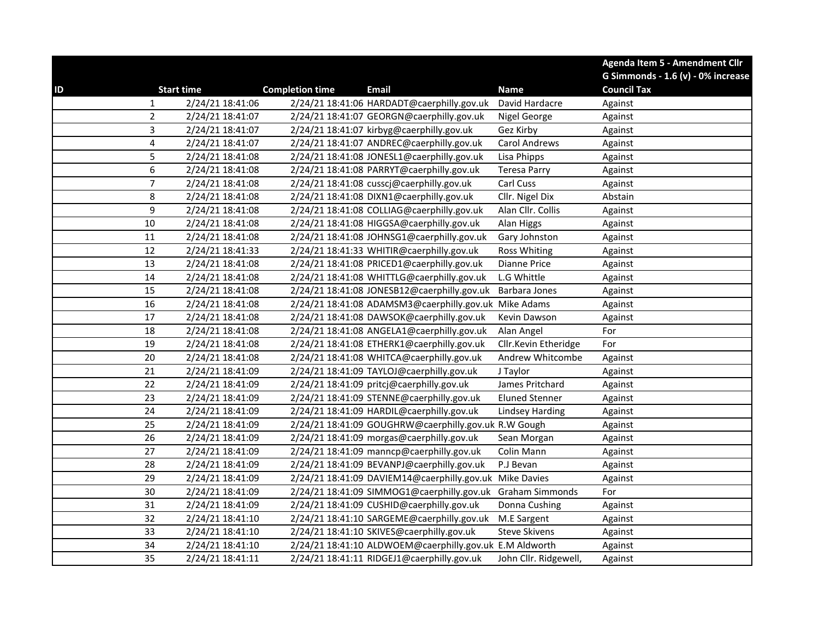|                |                   |                        |                                                            |                        | Agenda Item 5 - Amendment Cllr     |
|----------------|-------------------|------------------------|------------------------------------------------------------|------------------------|------------------------------------|
|                |                   |                        |                                                            |                        | G Simmonds - 1.6 (v) - 0% increase |
| ID             | <b>Start time</b> | <b>Completion time</b> | <b>Email</b>                                               | <b>Name</b>            | <b>Council Tax</b>                 |
| 1              | 2/24/21 18:41:06  |                        | 2/24/21 18:41:06 HARDADT@caerphilly.gov.uk                 | David Hardacre         | Against                            |
| $\overline{2}$ | 2/24/21 18:41:07  |                        | 2/24/21 18:41:07 GEORGN@caerphilly.gov.uk                  | Nigel George           | Against                            |
| 3              | 2/24/21 18:41:07  |                        | 2/24/21 18:41:07 kirbyg@caerphilly.gov.uk                  | Gez Kirby              | Against                            |
| 4              | 2/24/21 18:41:07  |                        | 2/24/21 18:41:07 ANDREC@caerphilly.gov.uk                  | Carol Andrews          | Against                            |
| 5              | 2/24/21 18:41:08  |                        | 2/24/21 18:41:08 JONESL1@caerphilly.gov.uk                 | Lisa Phipps            | Against                            |
| 6              | 2/24/21 18:41:08  |                        | 2/24/21 18:41:08 PARRYT@caerphilly.gov.uk                  | <b>Teresa Parry</b>    | Against                            |
| $\overline{7}$ | 2/24/21 18:41:08  |                        | 2/24/21 18:41:08 cusscj@caerphilly.gov.uk                  | Carl Cuss              | Against                            |
| 8              | 2/24/21 18:41:08  |                        | 2/24/21 18:41:08 DIXN1@caerphilly.gov.uk                   | Cllr. Nigel Dix        | Abstain                            |
| 9              | 2/24/21 18:41:08  |                        | 2/24/21 18:41:08 COLLIAG@caerphilly.gov.uk                 | Alan Cllr. Collis      | Against                            |
| 10             | 2/24/21 18:41:08  |                        | 2/24/21 18:41:08 HIGGSA@caerphilly.gov.uk                  | Alan Higgs             | Against                            |
| 11             | 2/24/21 18:41:08  |                        | 2/24/21 18:41:08 JOHNSG1@caerphilly.gov.uk                 | Gary Johnston          | Against                            |
| 12             | 2/24/21 18:41:33  |                        | 2/24/21 18:41:33 WHITIR@caerphilly.gov.uk                  | <b>Ross Whiting</b>    | Against                            |
| 13             | 2/24/21 18:41:08  |                        | 2/24/21 18:41:08 PRICED1@caerphilly.gov.uk                 | Dianne Price           | Against                            |
| 14             | 2/24/21 18:41:08  |                        | 2/24/21 18:41:08 WHITTLG@caerphilly.gov.uk                 | L.G Whittle            | Against                            |
| 15             | 2/24/21 18:41:08  |                        | 2/24/21 18:41:08 JONESB12@caerphilly.gov.uk                | Barbara Jones          | Against                            |
| 16             | 2/24/21 18:41:08  |                        | 2/24/21 18:41:08 ADAMSM3@caerphilly.gov.uk Mike Adams      |                        | Against                            |
| 17             | 2/24/21 18:41:08  |                        | 2/24/21 18:41:08 DAWSOK@caerphilly.gov.uk                  | Kevin Dawson           | Against                            |
| 18             | 2/24/21 18:41:08  |                        | 2/24/21 18:41:08 ANGELA1@caerphilly.gov.uk                 | Alan Angel             | For                                |
| 19             | 2/24/21 18:41:08  |                        | 2/24/21 18:41:08 ETHERK1@caerphilly.gov.uk                 | Cllr.Kevin Etheridge   | For                                |
| 20             | 2/24/21 18:41:08  |                        | 2/24/21 18:41:08 WHITCA@caerphilly.gov.uk                  | Andrew Whitcombe       | Against                            |
| 21             | 2/24/21 18:41:09  |                        | 2/24/21 18:41:09 TAYLOJ@caerphilly.gov.uk                  | J Taylor               | Against                            |
| 22             | 2/24/21 18:41:09  |                        | 2/24/21 18:41:09 pritcj@caerphilly.gov.uk                  | James Pritchard        | Against                            |
| 23             | 2/24/21 18:41:09  |                        | 2/24/21 18:41:09 STENNE@caerphilly.gov.uk                  | <b>Eluned Stenner</b>  | Against                            |
| 24             | 2/24/21 18:41:09  |                        | 2/24/21 18:41:09 HARDIL@caerphilly.gov.uk                  | <b>Lindsey Harding</b> | Against                            |
| 25             | 2/24/21 18:41:09  |                        | 2/24/21 18:41:09 GOUGHRW@caerphilly.gov.uk R.W Gough       |                        | Against                            |
| 26             | 2/24/21 18:41:09  |                        | 2/24/21 18:41:09 morgas@caerphilly.gov.uk                  | Sean Morgan            | Against                            |
| 27             | 2/24/21 18:41:09  |                        | 2/24/21 18:41:09 manncp@caerphilly.gov.uk                  | Colin Mann             | Against                            |
| 28             | 2/24/21 18:41:09  |                        | 2/24/21 18:41:09 BEVANPJ@caerphilly.gov.uk                 | P.J Bevan              | Against                            |
| 29             | 2/24/21 18:41:09  |                        | 2/24/21 18:41:09 DAVIEM14@caerphilly.gov.uk Mike Davies    |                        | Against                            |
| 30             | 2/24/21 18:41:09  |                        | 2/24/21 18:41:09 SIMMOG1@caerphilly.gov.uk Graham Simmonds |                        | For                                |
| 31             | 2/24/21 18:41:09  |                        | 2/24/21 18:41:09 CUSHID@caerphilly.gov.uk                  | Donna Cushing          | Against                            |
| 32             | 2/24/21 18:41:10  |                        | 2/24/21 18:41:10 SARGEME@caerphilly.gov.uk                 | M.E Sargent            | Against                            |
| 33             | 2/24/21 18:41:10  |                        | 2/24/21 18:41:10 SKIVES@caerphilly.gov.uk                  | <b>Steve Skivens</b>   | Against                            |
| 34             | 2/24/21 18:41:10  |                        | 2/24/21 18:41:10 ALDWOEM@caerphilly.gov.uk E.M Aldworth    |                        | Against                            |
| 35             | 2/24/21 18:41:11  |                        | 2/24/21 18:41:11 RIDGEJ1@caerphilly.gov.uk                 | John Cllr. Ridgewell,  | Against                            |